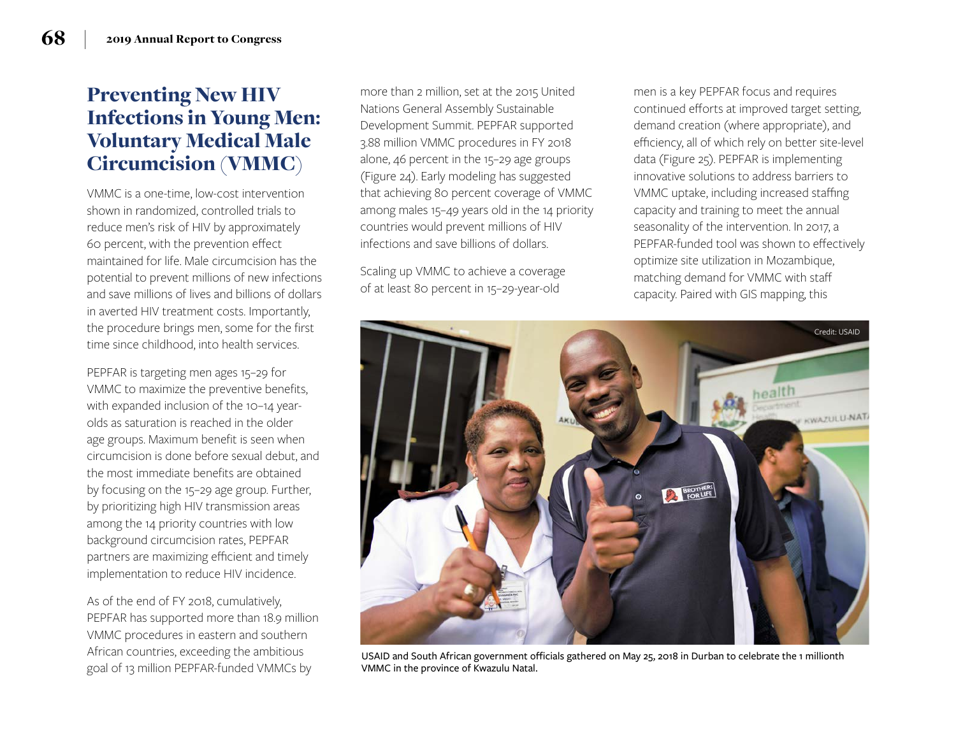## Preventing New HIV Infections in Young Men: Voluntary Medical Male Circumcision (VMMC)

VMMC is a one-time, low-cost intervention shown in randomized, controlled trials to reduce men's risk of HIV by approximately 60 percent, with the prevention effect maintained for life. Male circumcision has the potential to prevent millions of new infections and save millions of lives and billions of dollars in averted HIV treatment costs. Importantly, the procedure brings men, some for the first time since childhood, into health services.

PEPFAR is targeting men ages 15–29 for VMMC to maximize the preventive benefits, with expanded inclusion of the 10–14 yearolds as saturation is reached in the older age groups. Maximum benefit is seen when circumcision is done before sexual debut, and the most immediate benefits are obtained by focusing on the 15–29 age group . Further, by prioritizing high HIV transmission areas among the 14 priority countries with low background circumcision rates, PEPFAR partners are maximizing efficient and timely implementation to reduce HIV incidence.

As of the end of FY 2018, cumulatively, PEPFAR has supported more than 18.9 million VMMC procedures in eastern and southern African countries, exceeding the ambitious goal of 13 million PEPFAR-funded VMMCs by

more than 2 million, set at the 2015 United Nations General Assembly Sustainable Development Summit . PEPFAR supported 3 .88 million VMMC procedures in FY 2018 alone, 46 percent in the 15–29 age groups (Figure 24) . Early modeling has suggested that achieving 80 percent coverage of VMMC among males 15–49 years old in the 14 priority countries would prevent millions of HIV infections and save billions of dollars.

Scaling up VMMC to achieve a coverage of at least 80 percent in 15–29-year-old

men is a key PEPFAR focus and requires continued efforts at improved target setting, demand creation (where appropriate), and efficiency, all of which rely on better site-level data (Figure 25) . PEPFAR is implementing innovative solutions to address barriers to VMMC uptake, including increased staffing capacity and training to meet the annual seasonality of the intervention. In 2017, a PEPFAR-funded tool was shown to effectively optimize site utilization in Mozambique, matching demand for VMMC with staff capacity . Paired with GIS mapping, this



USAID and South African government officials gathered on May 25, 2018 in Durban to celebrate the 1 millionth VMMC in the province of Kwazulu Natal.